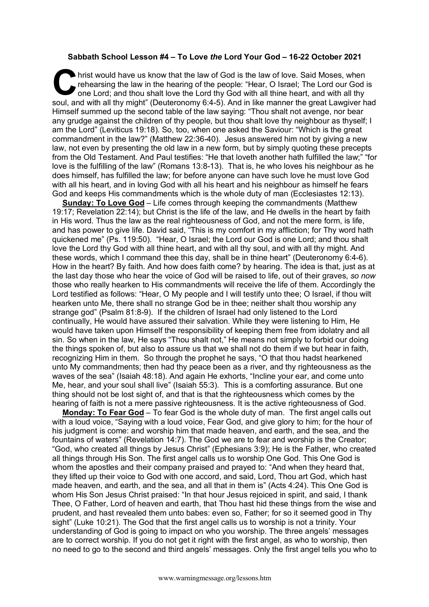## **Sabbath School Lesson #4 – To Love** *the* **Lord Your God – 16-22 October 2021**

hrist would have us know that the law of God is the law of love. Said Moses, when rehearsing the law in the hearing of the people: "Hear, O Israel; The Lord our God one Lord; and thou shalt love the Lord thy God with all t rehearsing the law in the hearing of the people: "Hear, O Israel; The Lord our God is one Lord; and thou shalt love the Lord thy God with all thine heart, and with all thy soul, and with all thy might" (Deuteronomy 6:4-5). And in like manner the great Lawgiver had Himself summed up the second table of the law saying: "Thou shalt not avenge, nor bear any grudge against the children of thy people, but thou shalt love thy neighbour as thyself; I am the Lord" (Leviticus 19:18). So, too, when one asked the Saviour: "Which is the great commandment in the law?" (Matthew 22:36-40). Jesus answered him not by giving a new law, not even by presenting the old law in a new form, but by simply quoting these precepts from the Old Testament. And Paul testifies: "He that loveth another hath fulfilled the law;" "for love is the fulfilling of the law" (Romans 13:8-13). That is, he who loves his neighbour as he does himself, has fulfilled the law; for before anyone can have such love he must love God with all his heart, and in loving God with all his heart and his neighbour as himself he fears God and keeps His commandments which is the whole duty of man (Ecclesiastes 12:13).

**Sunday: To Love God** – Life comes through keeping the commandments (Matthew 19:17; Revelation 22:14); but Christ is the life of the law, and He dwells in the heart by faith in His word. Thus the law as the real righteousness of God, and not the mere form, is life, and has power to give life. David said, "This is my comfort in my affliction; for Thy word hath quickened me" (Ps. 119:50). "Hear, O Israel; the Lord our God is one Lord; and thou shalt love the Lord thy God with all thine heart, and with all thy soul, and with all thy might. And these words, which I command thee this day, shall be in thine heart" (Deuteronomy 6:4-6). How in the heart? By faith. And how does faith come? by hearing. The idea is that, just as at the last day those who hear the voice of God will be raised to life, out of their graves, *so now*  those who really hearken to His commandments will receive the life of them. Accordingly the Lord testified as follows: "Hear, O My people and I will testify unto thee; O Israel, if thou wilt hearken unto Me, there shall no strange God be in thee; neither shalt thou worship any strange god" (Psalm 81:8-9). If the children of Israel had only listened to the Lord continually, He would have assured their salvation. While they were listening to Him, He would have taken upon Himself the responsibility of keeping them free from idolatry and all sin. So when in the law, He says "Thou shalt not," He means not simply to forbid our doing the things spoken of, but also to assure us that we shall not do them if we but hear in faith, recognizing Him in them. So through the prophet he says, "O that thou hadst hearkened unto My commandments; then had thy peace been as a river, and thy righteousness as the waves of the sea" (Isaiah 48:18). And again He exhorts, "Incline your ear, and come unto Me, hear, and your soul shall live" (Isaiah 55:3). This is a comforting assurance. But one thing should not be lost sight of, and that is that the righteousness which comes by the hearing of faith is not a mere passive righteousness. It is the active righteousness of God.

**Monday: To Fear God** – To fear God is the whole duty of man. The first angel calls out with a loud voice, "Saying with a loud voice, Fear God, and give glory to him; for the hour of his judgment is come: and worship him that made heaven, and earth, and the sea, and the fountains of waters" (Revelation 14:7). The God we are to fear and worship is the Creator; "God, who created all things by Jesus Christ" (Ephesians 3:9); He is the Father, who created all things through His Son. The first angel calls us to worship One God. This One God is whom the apostles and their company praised and prayed to: "And when they heard that, they lifted up their voice to God with one accord, and said, Lord, Thou art God, which hast made heaven, and earth, and the sea, and all that in them is" (Acts 4:24). This One God is whom His Son Jesus Christ praised: "In that hour Jesus rejoiced in spirit, and said, I thank Thee, O Father, Lord of heaven and earth, that Thou hast hid these things from the wise and prudent, and hast revealed them unto babes: even so, Father; for so it seemed good in Thy sight" (Luke 10:21). The God that the first angel calls us to worship is not a trinity. Your understanding of God is going to impact on who you worship. The three angels' messages are to correct worship. If you do not get it right with the first angel, as who to worship, then no need to go to the second and third angels' messages. Only the first angel tells you who to